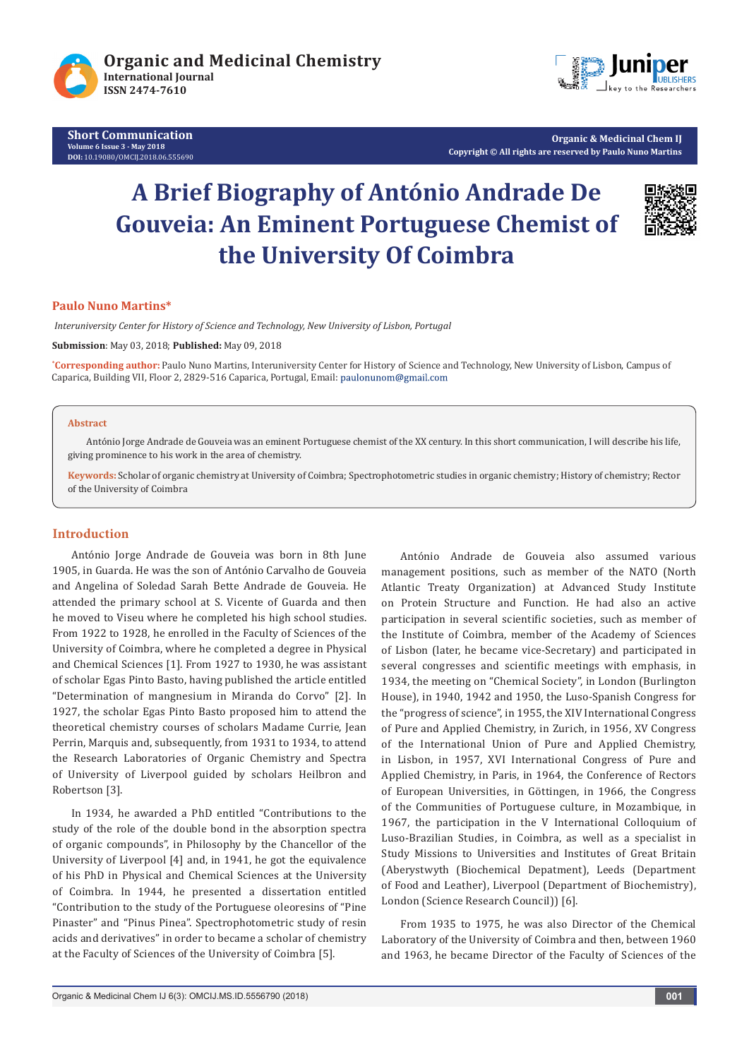

**Short Communication Volume 6 Issue 3 - May 2018 DOI:** [10.19080/OMCIJ.2018.06.5556](http://dx.doi.org/10.19080/OMCIJ.2018.06.555690)90



**Organic & Medicinal Chem IJ Copyright © All rights are reserved by Paulo Nuno Martins**

# **A Brief Biography of António Andrade De Gouveia: An Eminent Portuguese Chemist of the University Of Coimbra**



## **Paulo Nuno Martins\***

 *Interuniversity Center for History of Science and Technology, New University of Lisbon, Portugal*

**Submission**: May 03, 2018; **Published:** May 09, 2018

**\* Corresponding author:** Paulo Nuno Martins, Interuniversity Center for History of Science and Technology, New University of Lisbon, Campus of Caparica, Building VII, Floor 2, 2829-516 Caparica, Portugal, Email:

#### **Abstract**

António Jorge Andrade de Gouveia was an eminent Portuguese chemist of the XX century. In this short communication, I will describe his life, giving prominence to his work in the area of chemistry.

**Keywords:** Scholar of organic chemistry at University of Coimbra; Spectrophotometric studies in organic chemistry; History of chemistry; Rector of the University of Coimbra

# **Introduction**

António Jorge Andrade de Gouveia was born in 8th June 1905, in Guarda. He was the son of António Carvalho de Gouveia and Angelina of Soledad Sarah Bette Andrade de Gouveia. He attended the primary school at S. Vicente of Guarda and then he moved to Viseu where he completed his high school studies. From 1922 to 1928, he enrolled in the Faculty of Sciences of the University of Coimbra, where he completed a degree in Physical and Chemical Sciences [1]. From 1927 to 1930, he was assistant of scholar Egas Pinto Basto, having published the article entitled "Determination of mangnesium in Miranda do Corvo" [2]. In 1927, the scholar Egas Pinto Basto proposed him to attend the theoretical chemistry courses of scholars Madame Currie, Jean Perrin, Marquis and, subsequently, from 1931 to 1934, to attend the Research Laboratories of Organic Chemistry and Spectra of University of Liverpool guided by scholars Heilbron and Robertson [3].

In 1934, he awarded a PhD entitled "Contributions to the study of the role of the double bond in the absorption spectra of organic compounds", in Philosophy by the Chancellor of the University of Liverpool [4] and, in 1941, he got the equivalence of his PhD in Physical and Chemical Sciences at the University of Coimbra. In 1944, he presented a dissertation entitled "Contribution to the study of the Portuguese oleoresins of "Pine Pinaster" and "Pinus Pinea". Spectrophotometric study of resin acids and derivatives" in order to became a scholar of chemistry at the Faculty of Sciences of the University of Coimbra [5].

António Andrade de Gouveia also assumed various management positions, such as member of the NATO (North Atlantic Treaty Organization) at Advanced Study Institute on Protein Structure and Function. He had also an active participation in several scientific societies, such as member of the Institute of Coimbra, member of the Academy of Sciences of Lisbon (later, he became vice-Secretary) and participated in several congresses and scientific meetings with emphasis, in 1934, the meeting on "Chemical Society", in London (Burlington House), in 1940, 1942 and 1950, the Luso-Spanish Congress for the "progress of science", in 1955, the XIV International Congress of Pure and Applied Chemistry, in Zurich, in 1956, XV Congress of the International Union of Pure and Applied Chemistry, in Lisbon, in 1957, XVI International Congress of Pure and Applied Chemistry, in Paris, in 1964, the Conference of Rectors of European Universities, in Göttingen, in 1966, the Congress of the Communities of Portuguese culture, in Mozambique, in 1967, the participation in the V International Colloquium of Luso-Brazilian Studies, in Coimbra, as well as a specialist in Study Missions to Universities and Institutes of Great Britain (Aberystwyth (Biochemical Depatment), Leeds (Department of Food and Leather), Liverpool (Department of Biochemistry), London (Science Research Council)) [6].

From 1935 to 1975, he was also Director of the Chemical Laboratory of the University of Coimbra and then, between 1960 and 1963, he became Director of the Faculty of Sciences of the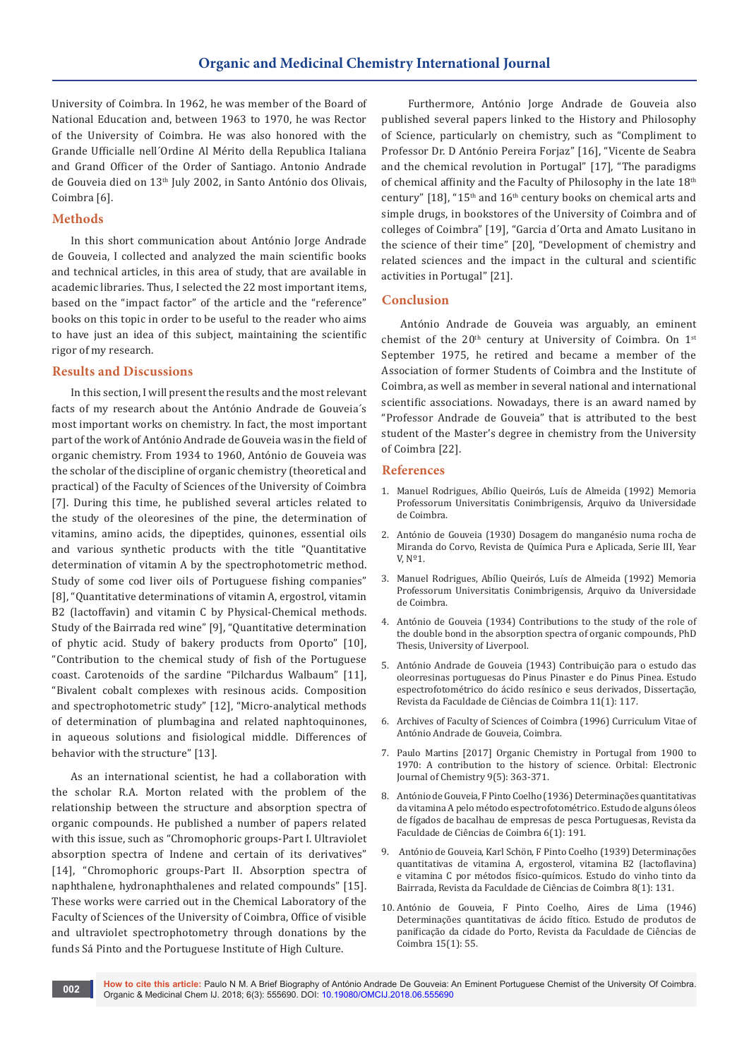University of Coimbra. In 1962, he was member of the Board of National Education and, between 1963 to 1970, he was Rector of the University of Coimbra. He was also honored with the Grande Ufficialle nell´Ordine Al Mérito della Republica Italiana and Grand Officer of the Order of Santiago. Antonio Andrade de Gouveia died on 13th July 2002, in Santo António dos Olivais, Coimbra [6].

# **Methods**

In this short communication about António Jorge Andrade de Gouveia, I collected and analyzed the main scientific books and technical articles, in this area of study, that are available in academic libraries. Thus, I selected the 22 most important items, based on the "impact factor" of the article and the "reference" books on this topic in order to be useful to the reader who aims to have just an idea of this subject, maintaining the scientific rigor of my research.

### **Results and Discussions**

In this section, I will present the results and the most relevant facts of my research about the António Andrade de Gouveia´s most important works on chemistry. In fact, the most important part of the work of António Andrade de Gouveia was in the field of organic chemistry. From 1934 to 1960, António de Gouveia was the scholar of the discipline of organic chemistry (theoretical and practical) of the Faculty of Sciences of the University of Coimbra [7]. During this time, he published several articles related to the study of the oleoresines of the pine, the determination of vitamins, amino acids, the dipeptides, quinones, essential oils and various synthetic products with the title "Quantitative determination of vitamin A by the spectrophotometric method. Study of some cod liver oils of Portuguese fishing companies" [8], "Quantitative determinations of vitamin A, ergostrol, vitamin B2 (lactoffavin) and vitamin C by Physical-Chemical methods. Study of the Bairrada red wine" [9], "Quantitative determination of phytic acid. Study of bakery products from Oporto" [10], "Contribution to the chemical study of fish of the Portuguese coast. Carotenoids of the sardine "Pilchardus Walbaum" [11], "Bivalent cobalt complexes with resinous acids. Composition and spectrophotometric study" [12], "Micro-analytical methods of determination of plumbagina and related naphtoquinones, in aqueous solutions and fisiological middle. Differences of behavior with the structure" [13].

As an international scientist, he had a collaboration with the scholar R.A. Morton related with the problem of the relationship between the structure and absorption spectra of organic compounds. He published a number of papers related with this issue, such as "Chromophoric groups-Part I. Ultraviolet absorption spectra of Indene and certain of its derivatives" [14], "Chromophoric groups-Part II. Absorption spectra of naphthalene, hydronaphthalenes and related compounds" [15]. These works were carried out in the Chemical Laboratory of the Faculty of Sciences of the University of Coimbra, Office of visible and ultraviolet spectrophotometry through donations by the funds Sá Pinto and the Portuguese Institute of High Culture.

 Furthermore, António Jorge Andrade de Gouveia also published several papers linked to the History and Philosophy of Science, particularly on chemistry, such as "Compliment to Professor Dr. D António Pereira Forjaz" [16], "Vicente de Seabra and the chemical revolution in Portugal" [17], "The paradigms of chemical affinity and the Faculty of Philosophy in the late 18<sup>th</sup> century"  $[18]$ , "15<sup>th</sup> and 16<sup>th</sup> century books on chemical arts and simple drugs, in bookstores of the University of Coimbra and of colleges of Coimbra" [19], "Garcia d´Orta and Amato Lusitano in the science of their time" [20], "Development of chemistry and related sciences and the impact in the cultural and scientific activities in Portugal" [21].

#### **Conclusion**

António Andrade de Gouveia was arguably, an eminent chemist of the  $20<sup>th</sup>$  century at University of Coimbra. On  $1<sup>st</sup>$ September 1975, he retired and became a member of the Association of former Students of Coimbra and the Institute of Coimbra, as well as member in several national and international scientific associations. Nowadays, there is an award named by "Professor Andrade de Gouveia" that is attributed to the best student of the Master's degree in chemistry from the University of Coimbra [22].

#### **References**

- 1. Manuel Rodrigues, Abílio Queirós, Luís de Almeida (1992) Memoria Professorum Universitatis Conimbrigensis, Arquivo da Universidade de Coimbra.
- 2. António de Gouveia (1930) Dosagem do manganésio numa rocha de Miranda do Corvo, Revista de Química Pura e Aplicada, Serie III, Year V, Nº1.
- 3. Manuel Rodrigues, Abílio Queirós, Luís de Almeida (1992) Memoria Professorum Universitatis Conimbrigensis, Arquivo da Universidade de Coimbra.
- 4. António de Gouveia (1934) Contributions to the study of the role of the double bond in the absorption spectra of organic compounds, PhD Thesis, University of Liverpool.
- 5. António Andrade de Gouveia (1943) Contribuição para o estudo das oleorresinas portuguesas do Pinus Pinaster e do Pinus Pinea. Estudo espectrofotométrico do ácido resínico e seus derivados, Dissertação, Revista da Faculdade de Ciências de Coimbra 11(1): 117.
- 6. Archives of Faculty of Sciences of Coimbra (1996) Curriculum Vitae of António Andrade de Gouveia, Coimbra.
- 7. Paulo Martins [2017] Organic Chemistry in Portugal from 1900 to 1970: A contribution to the history of science. Orbital: Electronic Journal of Chemistry 9(5): 363-371.
- 8. António de Gouveia, F Pinto Coelho (1936) Determinações quantitativas da vitamina A pelo método espectrofotométrico. Estudo de alguns óleos de fígados de bacalhau de empresas de pesca Portuguesas, Revista da Faculdade de Ciências de Coimbra 6(1): 191.
- 9. António de Gouveia, Karl Schön, F Pinto Coelho (1939) Determinações quantitativas de vitamina A, ergosterol, vitamina B2 (lactoflavina) e vitamina C por métodos físico-químicos. Estudo do vinho tinto da Bairrada, Revista da Faculdade de Ciências de Coimbra 8(1): 131.
- 10. António de Gouveia, F Pinto Coelho, Aires de Lima (1946) Determinações quantitativas de ácido fítico. Estudo de produtos de panificação da cidade do Porto, Revista da Faculdade de Ciências de Coimbra 15(1): 55.